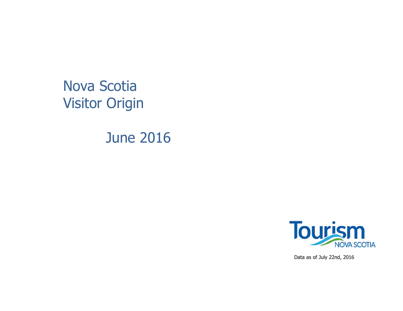Nova Scotia Visitor Origin

June 2016



Data as of July 22nd, 2016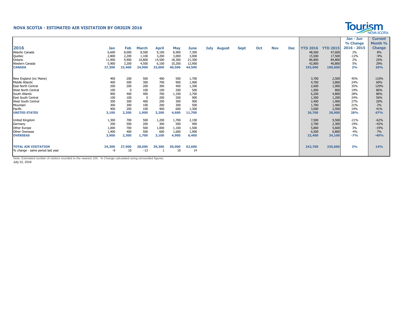## **NOVA SCOTIA - ESTIMATED AIR VISITATION BY ORIGIN 2016**



|                                  |            |        |              |              |            |             |             |               |      |     |            |            |                 |                 | Jan - Jun     | <b>Current</b> |
|----------------------------------|------------|--------|--------------|--------------|------------|-------------|-------------|---------------|------|-----|------------|------------|-----------------|-----------------|---------------|----------------|
|                                  |            |        |              |              |            |             |             |               |      |     |            |            |                 |                 | % Change      | Month %        |
| 2016                             | <b>Jan</b> | Feb    | <b>March</b> | <b>April</b> | <b>May</b> | <b>June</b> | <b>July</b> | <b>August</b> | Sept | Oct | <b>Nov</b> | <b>Dec</b> | <b>YTD 2016</b> | <b>YTD 2015</b> | $2016 - 2015$ | <b>Change</b>  |
| <b>Atlantic Canada</b>           | 6,600      | 8,000  | 8,500        | 9,100        | 8,900      | 7,300       |             |               |      |     |            |            | 48,500          | 47,600          | 2%            | 8%             |
| Quebec                           | 2,800      | 2,200  | 1,100        | 3,200        | 3,000      | 3,000       |             |               |      |     |            |            | 15,500          | 17,500          | $-12%$        | $-9%$          |
| Ontario                          | 11,900     | 9,900  | 10,800       | 14,500       | 18,300     | 21,300      |             |               |      |     |            |            | 86,800          | 84,800          | 2%            | 25%            |
| Western Canada                   | 5,900      | 3,200  | 4,500        | 6,100        | 10,200     | 12,900      |             |               |      |     |            |            | 42,800          | 40,800          | 5%            | 29%            |
| <b>CANADA</b>                    | 27,300     | 23,400 | 24,900       | 33,000       | 40,500     | 44,500      |             |               |      |     |            |            | 193,600         | 190,600         | 2%            | 20%            |
| New England (inc Maine)          | 400        | 200    | 500          | 400          | 500        | 1,700       |             |               |      |     |            |            | 3,700           | 2,500           | 45%           | 110%           |
| <b>Middle Atlantic</b>           | 400        | 500    | 300          | 700          | 900        | 1,900       |             |               |      |     |            |            | 4,700           | 3,800           | 24%           | 60%            |
| <b>East North Central</b>        | 200        | 200    | 200          | 300          | 400        | 1,300       |             |               |      |     |            |            | 2,600           | 1,900           | 35%           | 129%           |
| <b>West North Central</b>        | 100        |        | 100          | 100          | 200        | 500         |             |               |      |     |            |            | 1,000           | 800             | 19%           | 86%            |
| South Atlantic                   | 900        | 400    | 400          | 700          | 1,100      | 2,700       |             |               |      |     |            |            | 6,200           | 4,800           | 28%           | 86%            |
| <b>East South Central</b>        | 100        | 100    | 0            | 200          | 200        | 900         |             |               |      |     |            |            | 1,500           | 1,200           | 24%           | 56%            |
| West South Central               | 300        | 300    | 400          | 200          | 300        | 900         |             |               |      |     |            |            | 2,400           | 1,900           | 27%           | 20%            |
| Mountain                         | 300        | 300    | 100          | 200          | 300        | 500         |             |               |      |     |            |            | 1,700           | 1,400           | 21%           | 2%             |
| Pacific                          | 400        | 200    | 100          | 400          | 600        | 1,300       |             |               |      |     |            |            | 3,000           | 2,500           | 19%           | 41%            |
| <b>UNITED STATES</b>             | 3,100      | 2,200  | 1,900        | 3,200        | 4,600      | 11,700      |             |               |      |     |            |            | 26,700          | 20,900          | 28%           | 67%            |
| United Kingdom                   | 1,300      | 700    | 500          | 1,200        | 1,700      | 2,100       |             |               |      |     |            |            | 7,500           | 9,500           | $-21%$        | $-62%$         |
| Germany                          | 200        | 500    | 200          | 300          | 500        | 900         |             |               |      |     |            |            | 2,700           | 2,300           | 19%           | $-42%$         |
| Other Europe                     | 1,000      | 700    | 500          | 1,000        | 1,100      | 1,500       |             |               |      |     |            |            | 5,800           | 5,600           | 3%            | $-19%$         |
| Other Overseas                   | 1,400      | 400    | 500          | 600          | 1,600      | 1,900       |             |               |      |     |            |            | 6,500           | 6,800           | $-4%$         | 7%             |
| <b>OVERSEAS</b>                  | 3,900      | 2,300  | 1,700        | 3,100        | 4,900      | 6,400       |             |               |      |     |            |            | 22,400          | 24,100          | $-7%$         | $-40%$         |
| <b>TOTAL AIR VISITATION</b>      | 34,300     | 27,900 | 28,600       | 39,300       | 50,000     | 62,600      |             |               |      |     |            |            | 242,700         | 235,600         | 3%            | 14%            |
| % change - same period last year | -9         | 10     | $-13$        |              | 10         | 14          |             |               |      |     |            |            |                 |                 |               |                |

Note: Estimated number of visitors rounded to the nearest 100. % Change calculated using unrounded figures.

July 22, 2016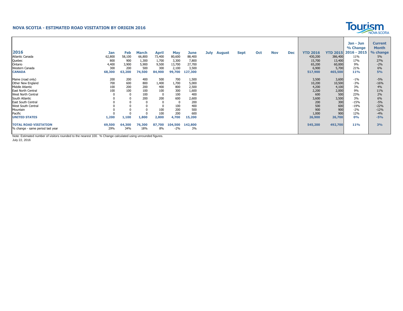## **NOVA SCOTIA - ESTIMATED ROAD VISITATION BY ORIGIN 2016**



|                                  |            |        |              |              |            |         |             |             |     |            |            |                 |                 | Jan - Jun     | <b>Current</b> |
|----------------------------------|------------|--------|--------------|--------------|------------|---------|-------------|-------------|-----|------------|------------|-----------------|-----------------|---------------|----------------|
|                                  |            |        |              |              |            |         |             |             |     |            |            |                 |                 | % Change      | <b>Month</b>   |
| 2016                             | <b>Jan</b> | Feb    | <b>March</b> | <b>April</b> | <b>May</b> | June    | July August | <b>Sept</b> | Oct | <b>Nov</b> | <b>Dec</b> | <b>YTD 2016</b> | <b>YTD 2015</b> | $2016 - 2015$ | % change       |
| Atlantic Canada                  | 62,800     | 58,100 | 66,800       | 73,400       | 80,600     | 88,400  |             |             |     |            |            | 430,200         | 386,400         | 11%           | 5%             |
| Quebec                           | 800        | 900    | 1,300        | 1,700        | 3,300      | 7,800   |             |             |     |            |            | 15,700          | 13,400          | 17%           | 27%            |
| Ontario                          | 4,400      | 3,900  | 5,900        | 9,500        | 13,700     | 27,700  |             |             |     |            |            | 65,200          | 60,000          | 9%            | $-2%$          |
| Western Canada                   | 300        | 200    | 500          | 300          | 2,100      | 3,500   |             |             |     |            |            | 6,900           | 5,700           | 21%           | 6%             |
| <b>CANADA</b>                    | 68,300     | 63,200 | 74,500       | 84,900       | 99,700     | 127,300 |             |             |     |            |            | 517,900         | 465,500         | <b>11%</b>    | 5%             |
|                                  |            |        |              |              |            |         |             |             |     |            |            |                 |                 |               |                |
| Maine (road only)                | 200        | 200    | 400          | 500          | 700        | 1,500   |             |             |     |            |            | 3,500           | 3,600           | $-1%$         | $-5%$          |
| Other New England                | 700        | 600    | 800          | 1,400        | 1,700      | 5,000   |             |             |     |            |            | 10,200          | 10,500          | $-3%$         | $-16%$         |
| <b>Middle Atlantic</b>           | 100        | 200    | 200          | 400          | 800        | 2,500   |             |             |     |            |            | 4,200           | 4,100           | 3%            | 4%             |
| East North Central               | 100        | 100    | 100          | 100          | 300        | 1,600   |             |             |     |            |            | 2,200           | 2,000           | 9%            | 11%            |
| West North Central               |            |        | 100          | 0            | 100        | 400     |             |             |     |            |            | 600             | 500             | 23%           | 2%             |
| South Atlantic                   |            |        | 200          | 200          | 600        | 2,600   |             |             |     |            |            | 3,600           | 3,500           | 3%            | 6%             |
| East South Central               |            |        |              |              |            | 200     |             |             |     |            |            | 200             | 300             | $-15%$        | $-5%$          |
| West South Central               |            |        |              |              | 100        | 400     |             |             |     |            |            | 500             | 600             | $-19%$        | $-22%$         |
| Mountain                         |            |        |              | 100          | 200        | 500     |             |             |     |            |            | 900             | 900             | $-2%$         | $-12%$         |
| Pacific                          |            |        |              | 100          | 200        | 600     |             |             |     |            |            | 1,000           | 900             | 12%           | $-4%$          |
| <b>UNITED STATES</b>             | 1,200      | 1,100  | 1,800        | 2,800        | 4,700      | 15,200  |             |             |     |            |            | 26,900          | 26,700          | 0%            | $-5%$          |
| <b>TOTAL ROAD VISITATION</b>     | 69,500     | 64,300 | 76,300       | 87,700       | 104,500    | 142,800 |             |             |     |            |            | 545,200         | 492,700         | 11%           | 3%             |
| % change - same period last year | 29%        | 34%    | 18%          | 8%           | $-2%$      | 3%      |             |             |     |            |            |                 |                 |               |                |
|                                  |            |        |              |              |            |         |             |             |     |            |            |                 |                 |               |                |

Note: Estimated number of visitors rounded to the nearest 100. % Change calculated using unrounded figures.

July 22, 2016